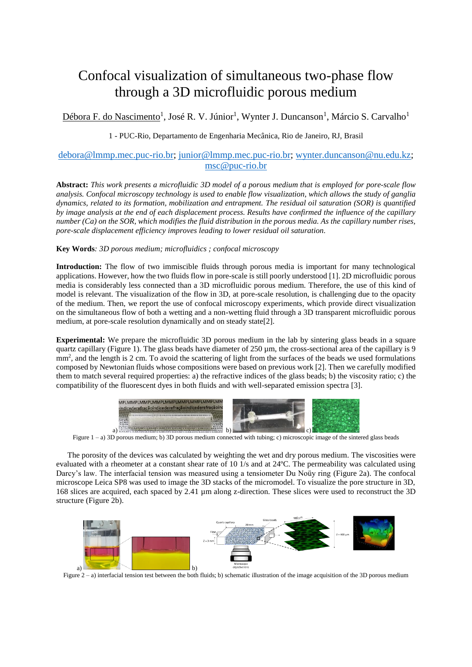## Confocal visualization of simultaneous two-phase flow through a 3D microfluidic porous medium

Débora F. do Nascimento<sup>1</sup>, José R. V. Júnior<sup>1</sup>, Wynter J. Duncanson<sup>1</sup>, Márcio S. Carvalho<sup>1</sup>

1 - PUC-Rio, Departamento de Engenharia Mecânica, Rio de Janeiro, RJ, Brasil

## [debora@lmmp.mec.puc-rio.br;](mailto:debora@lmmp.mec.puc-rio.br) [junior@lmmp.mec.puc-rio.br;](mailto:junior@lmmp.mec.puc-rio.br) [wynter.duncanson@nu.edu.kz;](mailto:wynter.duncanson@nu.edu.kz) [msc@puc-rio.br](mailto:msc@puc-rio.br)

**Abstract:** *This work presents a microfluidic 3D model of a porous medium that is employed for pore-scale flow analysis. Confocal microscopy technology is used to enable flow visualization, which allows the study of ganglia dynamics, related to its formation, mobilization and entrapment. The residual oil saturation (SOR) is quantified by image analysis at the end of each displacement process. Results have confirmed the influence of the capillary number (Ca) on the SOR, which modifies the fluid distribution in the porous media. As the capillary number rises, pore-scale displacement efficiency improves leading to lower residual oil saturation.*

**Key Words***: 3D porous medium; microfluidics ; confocal microscopy*

**Introduction:** The flow of two immiscible fluids through porous media is important for many technological applications. However, how the two fluids flow in pore-scale is still poorly understood [1]. 2D microfluidic porous media is considerably less connected than a 3D microfluidic porous medium. Therefore, the use of this kind of model is relevant. The visualization of the flow in 3D, at pore-scale resolution, is challenging due to the opacity of the medium. Then, we report the use of confocal microscopy experiments, which provide direct visualization on the simultaneous flow of both a wetting and a non-wetting fluid through a 3D transparent microfluidic porous medium, at pore-scale resolution dynamically and on steady state[2].

**Experimental:** We prepare the microfluidic 3D porous medium in the lab by sintering glass beads in a square quartz capillary [\(Figure 1\)](#page-0-0). The glass beads have diameter of  $250 \,\mu$ m, the cross-sectional area of the capillary is 9 mm<sup>2</sup>, and the length is 2 cm. To avoid the scattering of light from the surfaces of the beads we used formulations composed by Newtonian fluids whose compositions were based on previous work [2]. Then we carefully modified them to match several required properties: a) the refractive indices of the glass beads; b) the viscosity ratio; c) the compatibility of the fluorescent dyes in both fluids and with well-separated emission spectra [3].



Figure 1 – a) 3D porous medium; b) 3D porous medium connected with tubing; c) microscopic image of the sintered glass beads

<span id="page-0-0"></span>The porosity of the devices was calculated by weighting the wet and dry porous medium. The viscosities were evaluated with a rheometer at a constant shear rate of 10 1/s and at 24ºC. The permeability was calculated using Darcy's law. The interfacial tension was measured using a tensiometer Du Noüy ring [\(Figure 2a](#page-0-1)). The confocal microscope Leica SP8 was used to image the 3D stacks of the micromodel. To visualize the pore structure in 3D, 168 slices are acquired, each spaced by 2.41 µm along z-direction. These slices were used to reconstruct the 3D structure [\(Figure 2b](#page-0-1)).



<span id="page-0-1"></span>Figure 2 – a) interfacial tension test between the both fluids; b) schematic illustration of the image acquisition of the 3D porous medium